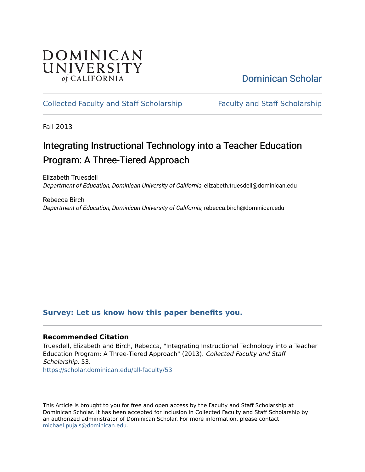# DOMINICAN UNIVERSITY of CALIFORNIA

# [Dominican Scholar](https://scholar.dominican.edu/)

### [Collected Faculty and Staff Scholarship](https://scholar.dominican.edu/all-faculty) [Faculty and Staff Scholarship](https://scholar.dominican.edu/faculty-scholarship)

Fall 2013

# Integrating Instructional Technology into a Teacher Education Program: A Three-Tiered Approach

Elizabeth Truesdell Department of Education, Dominican University of California, elizabeth.truesdell@dominican.edu

Rebecca Birch Department of Education, Dominican University of California, rebecca.birch@dominican.edu

### **[Survey: Let us know how this paper benefits you.](https://dominican.libwizard.com/dominican-scholar-feedback)**

#### **Recommended Citation**

Truesdell, Elizabeth and Birch, Rebecca, "Integrating Instructional Technology into a Teacher Education Program: A Three-Tiered Approach" (2013). Collected Faculty and Staff Scholarship. 53.

[https://scholar.dominican.edu/all-faculty/53](https://scholar.dominican.edu/all-faculty/53?utm_source=scholar.dominican.edu%2Fall-faculty%2F53&utm_medium=PDF&utm_campaign=PDFCoverPages)

This Article is brought to you for free and open access by the Faculty and Staff Scholarship at Dominican Scholar. It has been accepted for inclusion in Collected Faculty and Staff Scholarship by an authorized administrator of Dominican Scholar. For more information, please contact [michael.pujals@dominican.edu.](mailto:michael.pujals@dominican.edu)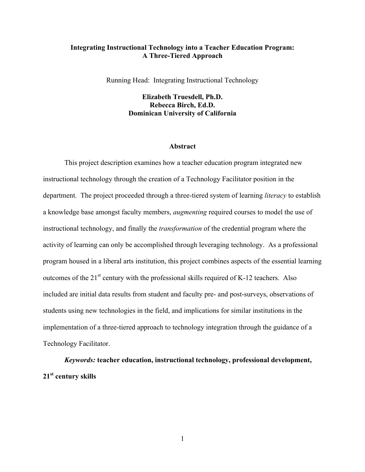#### **Integrating Instructional Technology into a Teacher Education Program: A Three-Tiered Approach**

Running Head: Integrating Instructional Technology

**Elizabeth Truesdell, Ph.D. Rebecca Birch, Ed.D. Dominican University of California**

#### **Abstract**

This project description examines how a teacher education program integrated new instructional technology through the creation of a Technology Facilitator position in the department. The project proceeded through a three-tiered system of learning *literacy* to establish a knowledge base amongst faculty members, *augmenting* required courses to model the use of instructional technology, and finally the *transformation* of the credential program where the activity of learning can only be accomplished through leveraging technology. As a professional program housed in a liberal arts institution, this project combines aspects of the essential learning outcomes of the  $21<sup>st</sup>$  century with the professional skills required of K-12 teachers. Also included are initial data results from student and faculty pre- and post-surveys, observations of students using new technologies in the field, and implications for similar institutions in the implementation of a three-tiered approach to technology integration through the guidance of a Technology Facilitator.

*Keywords:* **teacher education, instructional technology, professional development, 21st century skills**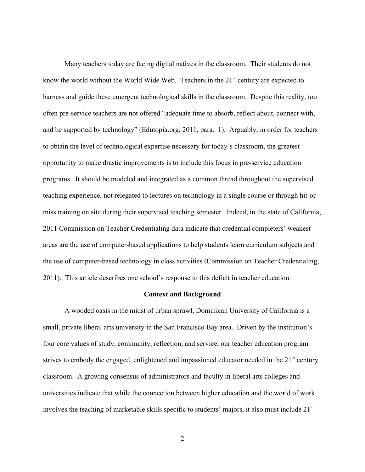Many teachers today are facing digital natives in the classroom. Their students do not know the world without the World Wide Web. Teachers in the  $21<sup>st</sup>$  century are expected to harness and guide these emergent technological skills in the classroom. Despite this reality, too often pre-service teachers are not offered "adequate time to absorb, reflect about, connect with, and be supported by technology" (Edutopia.org, 2011, para. 1). Arguably, in order for teachers to obtain the level of technological expertise necessary for today's classroom, the greatest opportunity to make drastic improvements is to include this focus in pre-service education programs. It should be modeled and integrated as a common thread throughout the supervised teaching experience, not relegated to lectures on technology in a single course or through hit-ormiss training on site during their supervised teaching semester. Indeed, in the state of California, 2011 Commission on Teacher Credentialing data indicate that credential completers' weakest areas are the use of computer-based applications to help students learn curriculum subjects and the use of computer-based technology in class activities (Commission on Teacher Credentialing, 2011). This article describes one school's response to this deficit in teacher education.

#### **Context and Background**

A wooded oasis in the midst of urban sprawl, Dominican University of California is a small, private liberal arts university in the San Francisco Bay area. Driven by the institution's four core values of study, community, reflection, and service, our teacher education program strives to embody the engaged, enlightened and impassioned educator needed in the  $21<sup>st</sup>$  century classroom. A growing consensus of administrators and faculty in liberal arts colleges and universities indicate that while the connection between higher education and the world of work involves the teaching of marketable skills specific to students' majors, it also must include 21<sup>st</sup>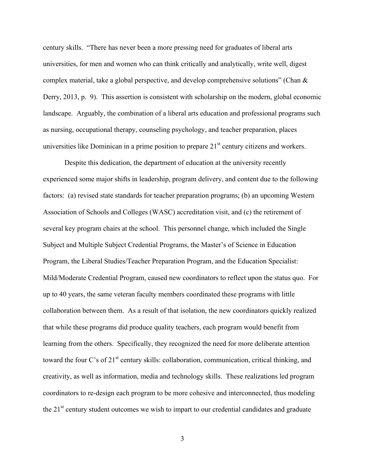century skills. "There has never been a more pressing need for graduates of liberal arts universities, for men and women who can think critically and analytically, write well, digest complex material, take a global perspective, and develop comprehensive solutions" (Chan & Derry, 2013, p. 9). This assertion is consistent with scholarship on the modern, global economic landscape. Arguably, the combination of a liberal arts education and professional programs such as nursing, occupational therapy, counseling psychology, and teacher preparation, places universities like Dominican in a prime position to prepare  $21<sup>st</sup>$  century citizens and workers.

Despite this dedication, the department of education at the university recently experienced some major shifts in leadership, program delivery, and content due to the following factors: (a) revised state standards for teacher preparation programs; (b) an upcoming Western Association of Schools and Colleges (WASC) accreditation visit, and (c) the retirement of several key program chairs at the school. This personnel change, which included the Single Subject and Multiple Subject Credential Programs, the Master's of Science in Education Program, the Liberal Studies/Teacher Preparation Program, and the Education Specialist: Mild/Moderate Credential Program, caused new coordinators to reflect upon the status quo. For up to 40 years, the same veteran faculty members coordinated these programs with little collaboration between them. As a result of that isolation, the new coordinators quickly realized that while these programs did produce quality teachers, each program would benefit from learning from the others. Specifically, they recognized the need for more deliberate attention toward the four C's of 21<sup>st</sup> century skills: collaboration, communication, critical thinking, and creativity, as well as information, media and technology skills. These realizations led program coordinators to re-design each program to be more cohesive and interconnected, thus modeling the  $21<sup>st</sup>$  century student outcomes we wish to impart to our credential candidates and graduate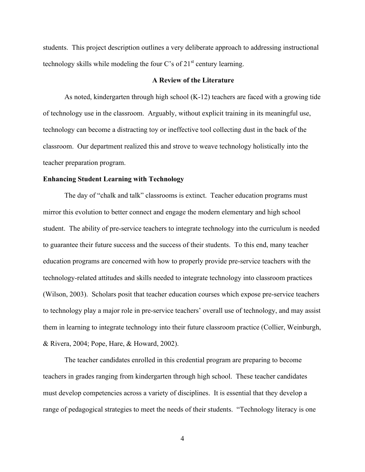students. This project description outlines a very deliberate approach to addressing instructional technology skills while modeling the four C's of  $21<sup>st</sup>$  century learning.

#### **A Review of the Literature**

As noted, kindergarten through high school (K-12) teachers are faced with a growing tide of technology use in the classroom. Arguably, without explicit training in its meaningful use, technology can become a distracting toy or ineffective tool collecting dust in the back of the classroom. Our department realized this and strove to weave technology holistically into the teacher preparation program.

#### **Enhancing Student Learning with Technology**

The day of "chalk and talk" classrooms is extinct. Teacher education programs must mirror this evolution to better connect and engage the modern elementary and high school student. The ability of pre-service teachers to integrate technology into the curriculum is needed to guarantee their future success and the success of their students. To this end, many teacher education programs are concerned with how to properly provide pre-service teachers with the technology-related attitudes and skills needed to integrate technology into classroom practices (Wilson, 2003). Scholars posit that teacher education courses which expose pre-service teachers to technology play a major role in pre-service teachers' overall use of technology, and may assist them in learning to integrate technology into their future classroom practice (Collier, Weinburgh, & Rivera, 2004; Pope, Hare, & Howard, 2002).

The teacher candidates enrolled in this credential program are preparing to become teachers in grades ranging from kindergarten through high school. These teacher candidates must develop competencies across a variety of disciplines. It is essential that they develop a range of pedagogical strategies to meet the needs of their students. "Technology literacy is one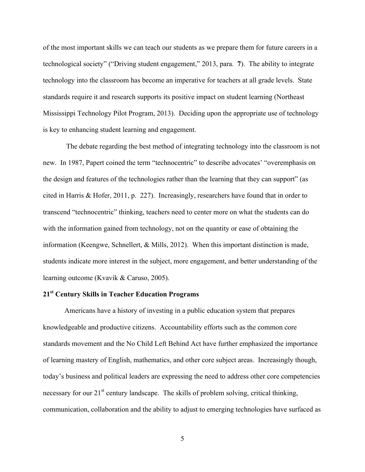of the most important skills we can teach our students as we prepare them for future careers in a technological society" ("Driving student engagement," 2013, para. **7**). The ability to integrate technology into the classroom has become an imperative for teachers at all grade levels. State standards require it and research supports its positive impact on student learning (Northeast Mississippi Technology Pilot Program, 2013). Deciding upon the appropriate use of technology is key to enhancing student learning and engagement.

The debate regarding the best method of integrating technology into the classroom is not new. In 1987, Papert coined the term "technocentric" to describe advocates' "overemphasis on the design and features of the technologies rather than the learning that they can support" (as cited in Harris & Hofer, 2011, p. 227). Increasingly, researchers have found that in order to transcend "technocentric" thinking, teachers need to center more on what the students can do with the information gained from technology, not on the quantity or ease of obtaining the information (Keengwe, Schnellert, & Mills, 2012). When this important distinction is made, students indicate more interest in the subject, more engagement, and better understanding of the learning outcome (Kvavik & Caruso, 2005).

### **21st Century Skills in Teacher Education Programs**

Americans have a history of investing in a public education system that prepares knowledgeable and productive citizens. Accountability efforts such as the common core standards movement and the No Child Left Behind Act have further emphasized the importance of learning mastery of English, mathematics, and other core subject areas. Increasingly though, today's business and political leaders are expressing the need to address other core competencies necessary for our  $21<sup>st</sup>$  century landscape. The skills of problem solving, critical thinking, communication, collaboration and the ability to adjust to emerging technologies have surfaced as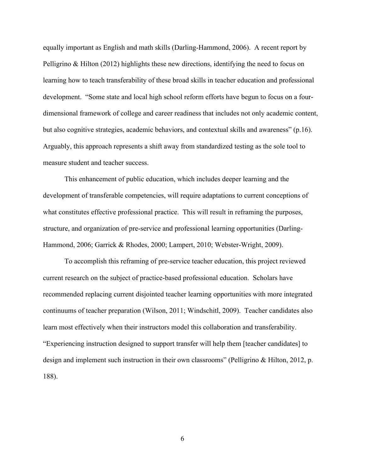equally important as English and math skills (Darling-Hammond, 2006). A recent report by Pelligrino & Hilton (2012) highlights these new directions, identifying the need to focus on learning how to teach transferability of these broad skills in teacher education and professional development. "Some state and local high school reform efforts have begun to focus on a fourdimensional framework of college and career readiness that includes not only academic content, but also cognitive strategies, academic behaviors, and contextual skills and awareness" (p.16). Arguably, this approach represents a shift away from standardized testing as the sole tool to measure student and teacher success.

This enhancement of public education, which includes deeper learning and the development of transferable competencies, will require adaptations to current conceptions of what constitutes effective professional practice. This will result in reframing the purposes, structure, and organization of pre-service and professional learning opportunities (Darling-Hammond, 2006; Garrick & Rhodes, 2000; Lampert, 2010; Webster-Wright, 2009).

To accomplish this reframing of pre-service teacher education, this project reviewed current research on the subject of practice-based professional education. Scholars have recommended replacing current disjointed teacher learning opportunities with more integrated continuums of teacher preparation (Wilson, 2011; Windschitl, 2009). Teacher candidates also learn most effectively when their instructors model this collaboration and transferability. "Experiencing instruction designed to support transfer will help them [teacher candidates] to design and implement such instruction in their own classrooms" (Pelligrino & Hilton, 2012, p. 188).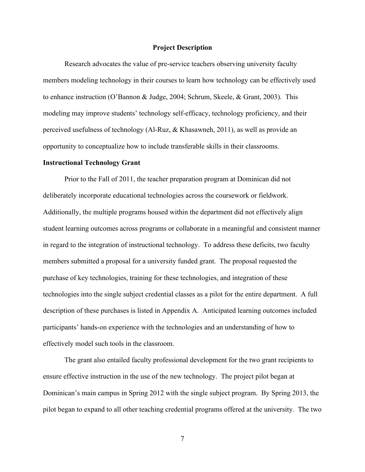#### **Project Description**

Research advocates the value of pre-service teachers observing university faculty members modeling technology in their courses to learn how technology can be effectively used to enhance instruction (O'Bannon & Judge, 2004; Schrum, Skeele, & Grant, 2003). This modeling may improve students' technology self-efficacy, technology proficiency, and their perceived usefulness of technology (Al-Ruz, & Khasawneh, 2011), as well as provide an opportunity to conceptualize how to include transferable skills in their classrooms.

#### **Instructional Technology Grant**

Prior to the Fall of 2011, the teacher preparation program at Dominican did not deliberately incorporate educational technologies across the coursework or fieldwork. Additionally, the multiple programs housed within the department did not effectively align student learning outcomes across programs or collaborate in a meaningful and consistent manner in regard to the integration of instructional technology. To address these deficits, two faculty members submitted a proposal for a university funded grant. The proposal requested the purchase of key technologies, training for these technologies, and integration of these technologies into the single subject credential classes as a pilot for the entire department. A full description of these purchases is listed in Appendix A. Anticipated learning outcomes included participants' hands-on experience with the technologies and an understanding of how to effectively model such tools in the classroom.

The grant also entailed faculty professional development for the two grant recipients to ensure effective instruction in the use of the new technology. The project pilot began at Dominican's main campus in Spring 2012 with the single subject program. By Spring 2013, the pilot began to expand to all other teaching credential programs offered at the university. The two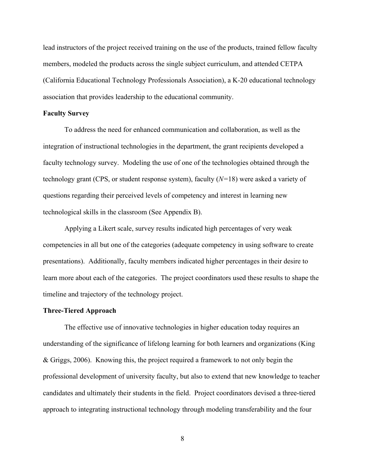lead instructors of the project received training on the use of the products, trained fellow faculty members, modeled the products across the single subject curriculum, and attended CETPA (California Educational Technology Professionals Association), a K-20 educational technology association that provides leadership to the educational community.

#### **Faculty Survey**

To address the need for enhanced communication and collaboration, as well as the integration of instructional technologies in the department, the grant recipients developed a faculty technology survey. Modeling the use of one of the technologies obtained through the technology grant (CPS, or student response system), faculty (*N=*18) were asked a variety of questions regarding their perceived levels of competency and interest in learning new technological skills in the classroom (See Appendix B).

Applying a Likert scale, survey results indicated high percentages of very weak competencies in all but one of the categories (adequate competency in using software to create presentations). Additionally, faculty members indicated higher percentages in their desire to learn more about each of the categories. The project coordinators used these results to shape the timeline and trajectory of the technology project.

#### **Three-Tiered Approach**

The effective use of innovative technologies in higher education today requires an understanding of the significance of lifelong learning for both learners and organizations (King & Griggs, 2006). Knowing this, the project required a framework to not only begin the professional development of university faculty, but also to extend that new knowledge to teacher candidates and ultimately their students in the field. Project coordinators devised a three-tiered approach to integrating instructional technology through modeling transferability and the four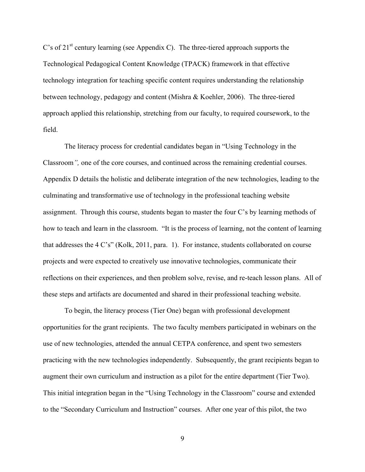C's of  $21<sup>st</sup>$  century learning (see Appendix C). The three-tiered approach supports the Technological Pedagogical Content Knowledge (TPACK) framework in that effective technology integration for teaching specific content requires understanding the relationship between technology, pedagogy and content (Mishra & Koehler, 2006). The three-tiered approach applied this relationship, stretching from our faculty, to required coursework, to the field.

The literacy process for credential candidates began in "Using Technology in the Classroom*",* one of the core courses, and continued across the remaining credential courses. Appendix D details the holistic and deliberate integration of the new technologies, leading to the culminating and transformative use of technology in the professional teaching website assignment. Through this course, students began to master the four C's by learning methods of how to teach and learn in the classroom. "It is the process of learning, not the content of learning that addresses the 4 C's" (Kolk, 2011, para. 1). For instance, students collaborated on course projects and were expected to creatively use innovative technologies, communicate their reflections on their experiences, and then problem solve, revise, and re-teach lesson plans. All of these steps and artifacts are documented and shared in their professional teaching website.

To begin, the literacy process (Tier One) began with professional development opportunities for the grant recipients. The two faculty members participated in webinars on the use of new technologies, attended the annual CETPA conference, and spent two semesters practicing with the new technologies independently. Subsequently, the grant recipients began to augment their own curriculum and instruction as a pilot for the entire department (Tier Two). This initial integration began in the "Using Technology in the Classroom" course and extended to the "Secondary Curriculum and Instruction" courses. After one year of this pilot, the two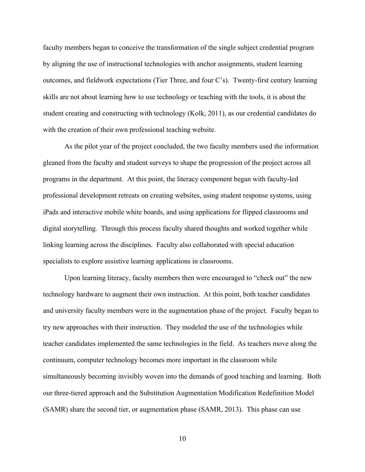faculty members began to conceive the transformation of the single subject credential program by aligning the use of instructional technologies with anchor assignments, student learning outcomes, and fieldwork expectations (Tier Three, and four C's). Twenty-first century learning skills are not about learning how to use technology or teaching with the tools, it is about the student creating and constructing with technology (Kolk, 2011), as our credential candidates do with the creation of their own professional teaching website.

As the pilot year of the project concluded, the two faculty members used the information gleaned from the faculty and student surveys to shape the progression of the project across all programs in the department. At this point, the literacy component began with faculty-led professional development retreats on creating websites, using student response systems, using iPads and interactive mobile white boards, and using applications for flipped classrooms and digital storytelling. Through this process faculty shared thoughts and worked together while linking learning across the disciplines. Faculty also collaborated with special education specialists to explore assistive learning applications in classrooms.

Upon learning literacy, faculty members then were encouraged to "check out" the new technology hardware to augment their own instruction. At this point, both teacher candidates and university faculty members were in the augmentation phase of the project. Faculty began to try new approaches with their instruction. They modeled the use of the technologies while teacher candidates implemented the same technologies in the field. As teachers move along the continuum, computer technology becomes more important in the classroom while simultaneously becoming invisibly woven into the demands of good teaching and learning. Both our three-tiered approach and the Substitution Augmentation Modification Redefinition Model (SAMR) share the second tier, or augmentation phase (SAMR, 2013). This phase can use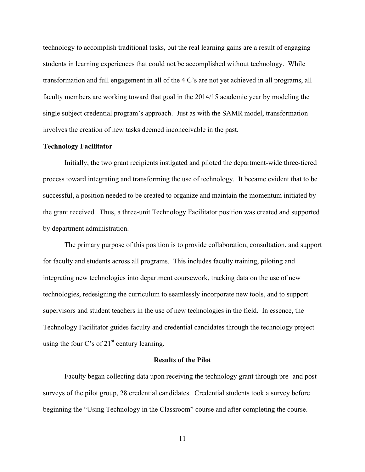technology to accomplish traditional tasks, but the real learning gains are a result of engaging students in learning experiences that could not be accomplished without technology. While transformation and full engagement in all of the 4 C's are not yet achieved in all programs, all faculty members are working toward that goal in the 2014/15 academic year by modeling the single subject credential program's approach. Just as with the SAMR model, transformation involves the creation of new tasks deemed inconceivable in the past.

#### **Technology Facilitator**

Initially, the two grant recipients instigated and piloted the department-wide three-tiered process toward integrating and transforming the use of technology. It became evident that to be successful, a position needed to be created to organize and maintain the momentum initiated by the grant received. Thus, a three-unit Technology Facilitator position was created and supported by department administration.

The primary purpose of this position is to provide collaboration, consultation, and support for faculty and students across all programs. This includes faculty training, piloting and integrating new technologies into department coursework, tracking data on the use of new technologies, redesigning the curriculum to seamlessly incorporate new tools, and to support supervisors and student teachers in the use of new technologies in the field. In essence, the Technology Facilitator guides faculty and credential candidates through the technology project using the four C's of  $21<sup>st</sup>$  century learning.

#### **Results of the Pilot**

Faculty began collecting data upon receiving the technology grant through pre- and postsurveys of the pilot group, 28 credential candidates. Credential students took a survey before beginning the "Using Technology in the Classroom" course and after completing the course.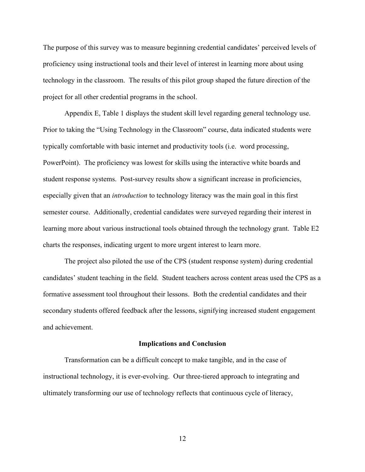The purpose of this survey was to measure beginning credential candidates' perceived levels of proficiency using instructional tools and their level of interest in learning more about using technology in the classroom. The results of this pilot group shaped the future direction of the project for all other credential programs in the school.

Appendix E, Table 1 displays the student skill level regarding general technology use. Prior to taking the "Using Technology in the Classroom" course, data indicated students were typically comfortable with basic internet and productivity tools (i.e. word processing, PowerPoint). The proficiency was lowest for skills using the interactive white boards and student response systems. Post-survey results show a significant increase in proficiencies, especially given that an *introduction* to technology literacy was the main goal in this first semester course. Additionally, credential candidates were surveyed regarding their interest in learning more about various instructional tools obtained through the technology grant. Table E2 charts the responses, indicating urgent to more urgent interest to learn more.

The project also piloted the use of the CPS (student response system) during credential candidates' student teaching in the field. Student teachers across content areas used the CPS as a formative assessment tool throughout their lessons. Both the credential candidates and their secondary students offered feedback after the lessons, signifying increased student engagement and achievement.

#### **Implications and Conclusion**

Transformation can be a difficult concept to make tangible, and in the case of instructional technology, it is ever-evolving. Our three-tiered approach to integrating and ultimately transforming our use of technology reflects that continuous cycle of literacy,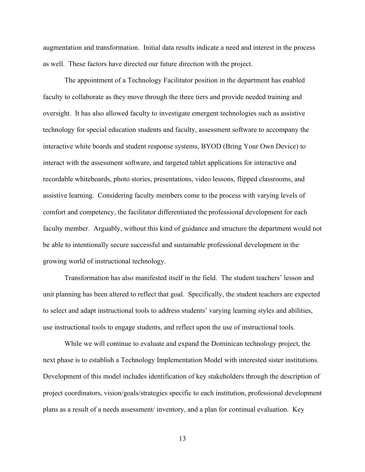augmentation and transformation. Initial data results indicate a need and interest in the process as well. These factors have directed our future direction with the project.

The appointment of a Technology Facilitator position in the department has enabled faculty to collaborate as they move through the three tiers and provide needed training and oversight. It has also allowed faculty to investigate emergent technologies such as assistive technology for special education students and faculty, assessment software to accompany the interactive white boards and student response systems, BYOD (Bring Your Own Device) to interact with the assessment software, and targeted tablet applications for interactive and recordable whiteboards, photo stories, presentations, video lessons, flipped classrooms, and assistive learning. Considering faculty members come to the process with varying levels of comfort and competency, the facilitator differentiated the professional development for each faculty member. Arguably, without this kind of guidance and structure the department would not be able to intentionally secure successful and sustainable professional development in the growing world of instructional technology.

Transformation has also manifested itself in the field. The student teachers' lesson and unit planning has been altered to reflect that goal. Specifically, the student teachers are expected to select and adapt instructional tools to address students' varying learning styles and abilities, use instructional tools to engage students, and reflect upon the use of instructional tools.

While we will continue to evaluate and expand the Dominican technology project, the next phase is to establish a Technology Implementation Model with interested sister institutions. Development of this model includes identification of key stakeholders through the description of project coordinators, vision/goals/strategies specific to each institution, professional development plans as a result of a needs assessment/ inventory, and a plan for continual evaluation. Key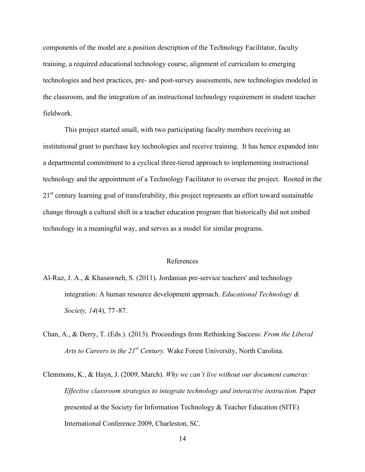components of the model are a position description of the Technology Facilitator, faculty training, a required educational technology course, alignment of curriculum to emerging technologies and best practices, pre- and post-survey assessments, new technologies modeled in the classroom, and the integration of an instructional technology requirement in student teacher fieldwork.

This project started small, with two participating faculty members receiving an institutional grant to purchase key technologies and receive training. It has hence expanded into a departmental commitment to a cyclical three-tiered approach to implementing instructional technology and the appointment of a Technology Facilitator to oversee the project. Rooted in the 21<sup>st</sup> century learning goal of transferability, this project represents an effort toward sustainable change through a cultural shift in a teacher education program that historically did not embed technology in a meaningful way, and serves as a model for similar programs.

#### References

- Al-Ruz, J. A., & Khasawneh, S. (2011). Jordanian pre-service teachers' and technology integration: A human resource development approach. *Educational Technology & Society, 14*(4), 77–87.
- Chan, A., & Derry, T. (Eds.). (2013). Proceedings from Rethinking Success: *From the Liberal Arts to Careers in the 21st Century.* Wake Forest University, North Carolina.
- Clemmons, K., & Hayn, J. (2009, March). *Why we can't live without our document cameras: Effective classroom strategies to integrate technology and interactive instruction.* Paper presented at the Society for Information Technology & Teacher Education (SITE) International Conference 2009, Charleston, SC.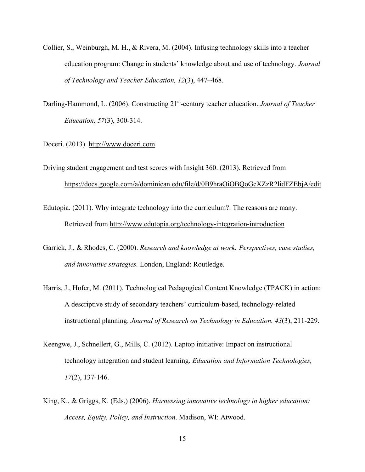- Collier, S., Weinburgh, M. H., & Rivera, M. (2004). Infusing technology skills into a teacher education program: Change in students' knowledge about and use of technology. *Journal of Technology and Teacher Education, 12*(3), 447–468.
- Darling-Hammond, L. (2006). Constructing 21<sup>st</sup>-century teacher education. *Journal of Teacher Education, 57*(3), 300-314.
- Doceri. (2013). http://www.doceri.com
- Driving student engagement and test scores with Insight 360. (2013). Retrieved from https://docs.google.com/a/dominican.edu/file/d/0B9hraOiOBQoGcXZzR2lidFZEbjA/edit
- Edutopia. (2011). Why integrate technology into the curriculum?: The reasons are many. Retrieved from http://www.edutopia.org/technology-integration-introduction
- Garrick, J., & Rhodes, C. (2000). *Research and knowledge at work: Perspectives, case studies, and innovative strategies.* London, England: Routledge.
- Harris, J., Hofer, M. (2011). Technological Pedagogical Content Knowledge (TPACK) in action: A descriptive study of secondary teachers' curriculum-based, technology-related instructional planning. *Journal of Research on Technology in Education. 43*(3), 211-229.
- Keengwe, J., Schnellert, G., Mills, C. (2012). Laptop initiative: Impact on instructional technology integration and student learning. *Education and Information Technologies, 17*(2), 137-146.
- King, K., & Griggs, K. (Eds.) (2006). *Harnessing innovative technology in higher education: Access, Equity, Policy, and Instruction*. Madison, WI: Atwood.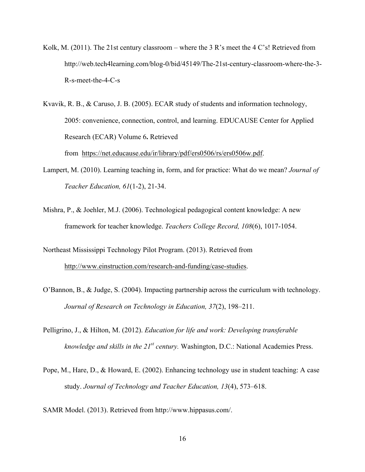Kolk, M. (2011). The 21st century classroom – where the 3 R's meet the 4 C's! Retrieved from http://web.tech4learning.com/blog-0/bid/45149/The-21st-century-classroom-where-the-3- R-s-meet-the-4-C-s

Kvavik, R. B., & Caruso, J. B. (2005). ECAR study of students and information technology, 2005: convenience, connection, control, and learning. EDUCAUSE Center for Applied Research (ECAR) Volume 6**.** Retrieved

from https://net.educause.edu/ir/library/pdf/ers0506/rs/ers0506w.pdf.

- Lampert, M. (2010). Learning teaching in, form, and for practice: What do we mean? *Journal of Teacher Education, 61*(1-2), 21-34.
- Mishra, P., & Joehler, M.J. (2006). Technological pedagogical content knowledge: A new framework for teacher knowledge. *Teachers College Record, 108*(6), 1017-1054.

Northeast Mississippi Technology Pilot Program. (2013). Retrieved from http://www.einstruction.com/research-and-funding/case-studies.

- O'Bannon, B., & Judge, S. (2004). Impacting partnership across the curriculum with technology. *Journal of Research on Technology in Education, 37*(2), 198–211.
- Pelligrino, J., & Hilton, M. (2012). *Education for life and work: Developing transferable knowledge and skills in the 21st century.* Washington, D.C.: National Academies Press.
- Pope, M., Hare, D., & Howard, E. (2002). Enhancing technology use in student teaching: A case study. *Journal of Technology and Teacher Education, 13*(4), 573–618.

SAMR Model. (2013). Retrieved from http://www.hippasus.com/.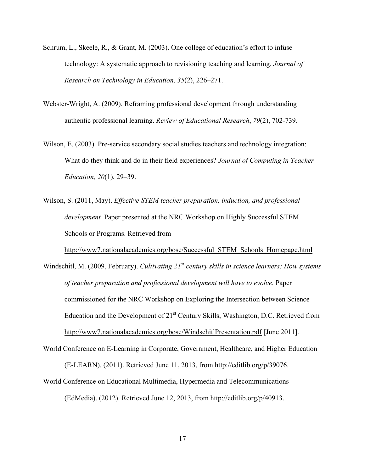- Schrum, L., Skeele, R., & Grant, M. (2003). One college of education's effort to infuse technology: A systematic approach to revisioning teaching and learning. *Journal of Research on Technology in Education, 35*(2), 226–271.
- Webster-Wright, A. (2009). Reframing professional development through understanding authentic professional learning. *Review of Educational Research*, *79*(2), 702-739.
- Wilson, E. (2003). Pre-service secondary social studies teachers and technology integration: What do they think and do in their field experiences? *Journal of Computing in Teacher Education, 20*(1), 29–39.
- Wilson, S. (2011, May). *Effective STEM teacher preparation, induction, and professional development.* Paper presented at the NRC Workshop on Highly Successful STEM Schools or Programs. Retrieved from

http://www7.nationalacademies.org/bose/Successful\_STEM\_Schools\_Homepage.html

- Windschitl, M. (2009, February). *Cultivating 21st century skills in science learners: How systems of teacher preparation and professional development will have to evolve.* Paper commissioned for the NRC Workshop on Exploring the Intersection between Science Education and the Development of  $21<sup>st</sup>$  Century Skills, Washington, D.C. Retrieved from http://www7.nationalacademies.org/bose/WindschitlPresentation.pdf [June 2011].
- World Conference on E-Learning in Corporate, Government, Healthcare, and Higher Education (E-LEARN). (2011). Retrieved June 11, 2013, from http://editlib.org/p/39076. World Conference on Educational Multimedia, Hypermedia and Telecommunications

(EdMedia). (2012). Retrieved June 12, 2013, from http://editlib.org/p/40913.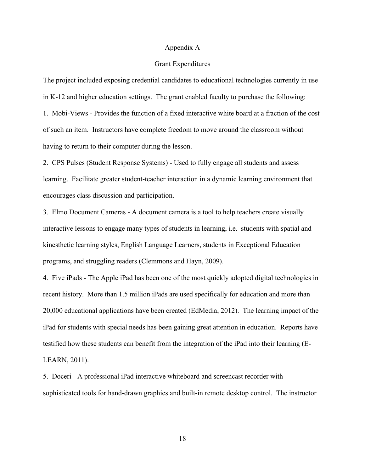#### Appendix A

#### Grant Expenditures

The project included exposing credential candidates to educational technologies currently in use in K-12 and higher education settings. The grant enabled faculty to purchase the following: 1. Mobi-Views - Provides the function of a fixed interactive white board at a fraction of the cost of such an item. Instructors have complete freedom to move around the classroom without having to return to their computer during the lesson.

2. CPS Pulses (Student Response Systems) - Used to fully engage all students and assess learning. Facilitate greater student-teacher interaction in a dynamic learning environment that encourages class discussion and participation.

3. Elmo Document Cameras - A document camera is a tool to help teachers create visually interactive lessons to engage many types of students in learning, i.e. students with spatial and kinesthetic learning styles, English Language Learners, students in Exceptional Education programs, and struggling readers (Clemmons and Hayn, 2009).

4. Five iPads - The Apple iPad has been one of the most quickly adopted digital technologies in recent history. More than 1.5 million iPads are used specifically for education and more than 20,000 educational applications have been created (EdMedia, 2012). The learning impact of the iPad for students with special needs has been gaining great attention in education. Reports have testified how these students can benefit from the integration of the iPad into their learning (E-LEARN, 2011).

5. Doceri - A professional iPad interactive whiteboard and screencast recorder with sophisticated tools for hand-drawn graphics and built-in remote desktop control. The instructor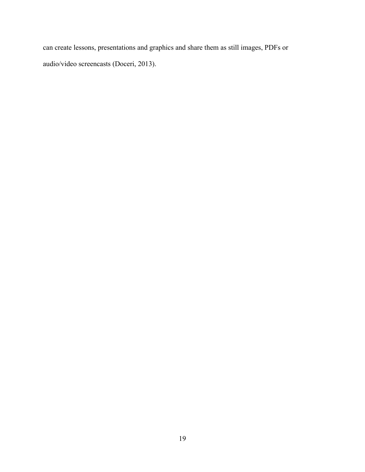can create lessons, presentations and graphics and share them as still images, PDFs or audio/video screencasts (Doceri, 2013).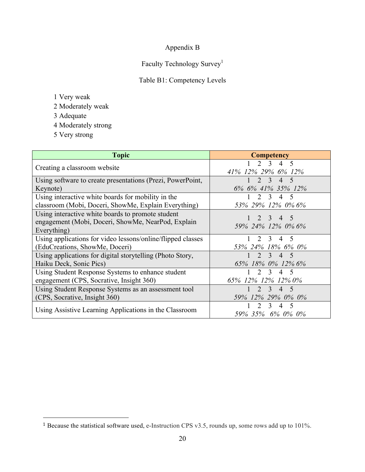### Appendix B

### Faculty Technology Survey<sup>1</sup>

### Table B1: Competency Levels

- 1 Very weak
- 2 Moderately weak
- 3 Adequate
- 4 Moderately strong
- 5 Very strong

 $\overline{a}$ 

| <b>Topic</b>                                                                                                           | <b>Competency</b>                                                                          |
|------------------------------------------------------------------------------------------------------------------------|--------------------------------------------------------------------------------------------|
| Creating a classroom website                                                                                           | $4\quad 5$<br>2 <sup>3</sup><br>41% 12% 29% 6% 12%                                         |
| Using software to create presentations (Prezi, PowerPoint,                                                             | $2 \quad 3$<br>$4\quad 5$                                                                  |
| Keynote)                                                                                                               | 6% 6% 41% 35% 12%                                                                          |
| Using interactive white boards for mobility in the                                                                     | $\mathcal{D}_{\mathcal{L}}$<br>3<br>4<br>$\sim$                                            |
| classroom (Mobi, Doceri, ShowMe, Explain Everything)                                                                   | 53% 29% 12% 0% 6%                                                                          |
| Using interactive white boards to promote student<br>engagement (Mobi, Doceri, ShowMe, NearPod, Explain<br>Everything) | $1 \t2 \t3 \t4$<br>- 5<br>59% 24% 12% 0% 6%                                                |
| Using applications for video lessons/online/flipped classes                                                            | $\mathcal{L}$<br>$\mathcal{E}$<br>$\overline{4}$<br>$\overline{5}$                         |
| (EduCreations, ShowMe, Doceri)                                                                                         | 53% 24% 18% 6% 0%                                                                          |
| Using applications for digital story telling (Photo Story,                                                             | $\mathcal{E}$<br>$\overline{4}$<br>-5                                                      |
| Haiku Deck, Sonic Pics)                                                                                                | 65% 18% 0% 12% 6%                                                                          |
| Using Student Response Systems to enhance student                                                                      | $\mathcal{E}$<br>$\overline{4}$                                                            |
| engagement (CPS, Socrative, Insight 360)                                                                               | 65% 12% 12% 12% 0%                                                                         |
| Using Student Response Systems as an assessment tool                                                                   | $\mathcal{D}_{\mathcal{L}}$<br>$\mathcal{Z}$<br>$\overline{4}$<br>$\overline{\mathcal{L}}$ |
| (CPS, Socrative, Insight 360)                                                                                          | 59% 12% 29% 0% 0%                                                                          |
| Using Assistive Learning Applications in the Classroom                                                                 | $\mathbf{3}$<br>$\overline{4}$<br>59% 35% 6% 0% 0%                                         |

<sup>1</sup> Because the statistical software used, e-Instruction CPS v3.5, rounds up, some rows add up to 101%.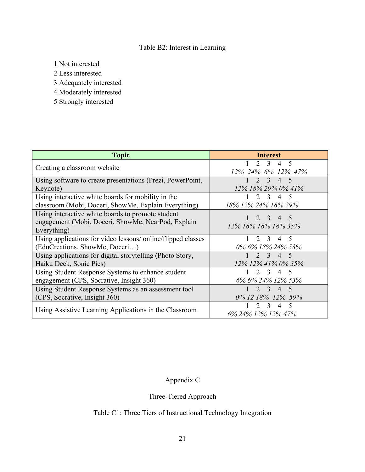### Table B2: Interest in Learning

1 Not interested

2 Less interested

3 Adequately interested

4 Moderately interested

5 Strongly interested

| <b>Topic</b>                                                                                                           | <b>Interest</b>                                                                                   |
|------------------------------------------------------------------------------------------------------------------------|---------------------------------------------------------------------------------------------------|
| Creating a classroom website                                                                                           | $2^{3}$<br>4 5<br>12% 24% 6% 12% 47%                                                              |
| Using software to create presentations (Prezi, PowerPoint,<br>Keynote)                                                 | $2 \quad 3 \quad 4 \quad 5$<br>12% 18% 29% 0% 41%                                                 |
| Using interactive white boards for mobility in the<br>classroom (Mobi, Doceri, ShowMe, Explain Everything)             | $\mathbf{3}$<br>$\overline{4}$<br>$\overline{\mathcal{L}}$<br>18% 12% 24% 18% 29%                 |
| Using interactive white boards to promote student<br>engagement (Mobi, Doceri, ShowMe, NearPod, Explain<br>Everything) | 4 5<br>$\mathcal{R}$<br>12% 18% 18% 18% 35%                                                       |
| Using applications for video lessons/ online/flipped classes<br>(EduCreations, ShowMe, Doceri)                         | $\mathcal{L}$<br>$\overline{4}$<br>-5<br>$\mathcal{R}$<br>0% 6% 18% 24% 53%                       |
| Using applications for digital storytelling (Photo Story,<br>Haiku Deck, Sonic Pics)                                   | $\mathcal{L}$<br>3<br>$\overline{4}$<br>$\overline{\mathcal{L}}$<br>12% 12% 41% 0% 35%            |
| Using Student Response Systems to enhance student<br>engagement (CPS, Socrative, Insight 360)                          | 2<br>$\overline{3}$<br>$\overline{4}$<br>- 5<br>6% 6% 24% 12% 53%                                 |
| Using Student Response Systems as an assessment tool<br>(CPS, Socrative, Insight 360)                                  | $\mathcal{D}$<br>$\mathcal{R}$<br>$\overline{4}$<br>$\overline{\mathcal{L}}$<br>0% 12 18% 12% 59% |
| Using Assistive Learning Applications in the Classroom                                                                 | $\overline{\mathcal{L}}$<br>6% 24% 12% 12% 47%                                                    |

Appendix C

## Three-Tiered Approach

### Table C1: Three Tiers of Instructional Technology Integration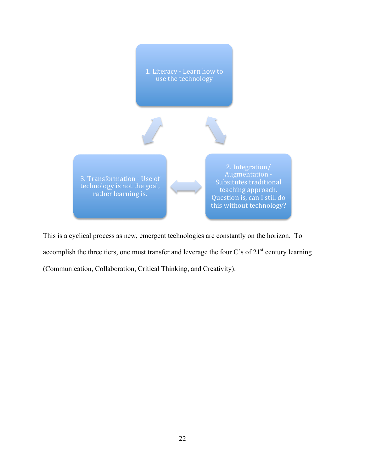

This is a cyclical process as new, emergent technologies are constantly on the horizon. To accomplish the three tiers, one must transfer and leverage the four C's of  $21<sup>st</sup>$  century learning (Communication, Collaboration, Critical Thinking, and Creativity).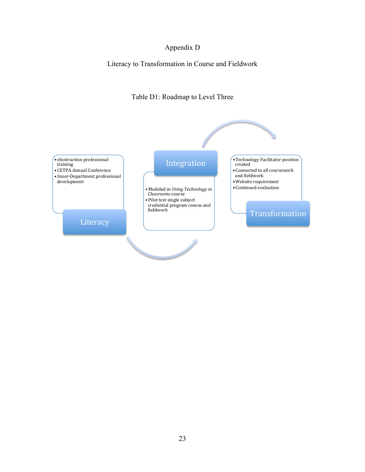### Appendix D

Literacy to Transformation in Course and Fieldwork



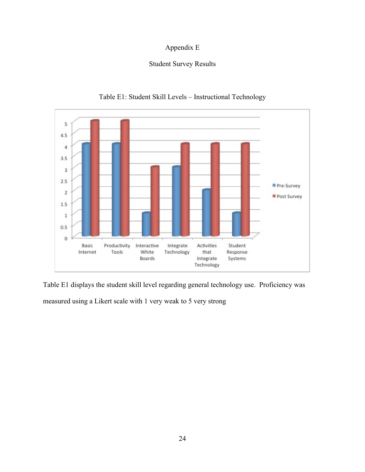### Appendix E

### Student Survey Results



### Table E1: Student Skill Levels – Instructional Technology

Table E1 displays the student skill level regarding general technology use. Proficiency was measured using a Likert scale with 1 very weak to 5 very strong